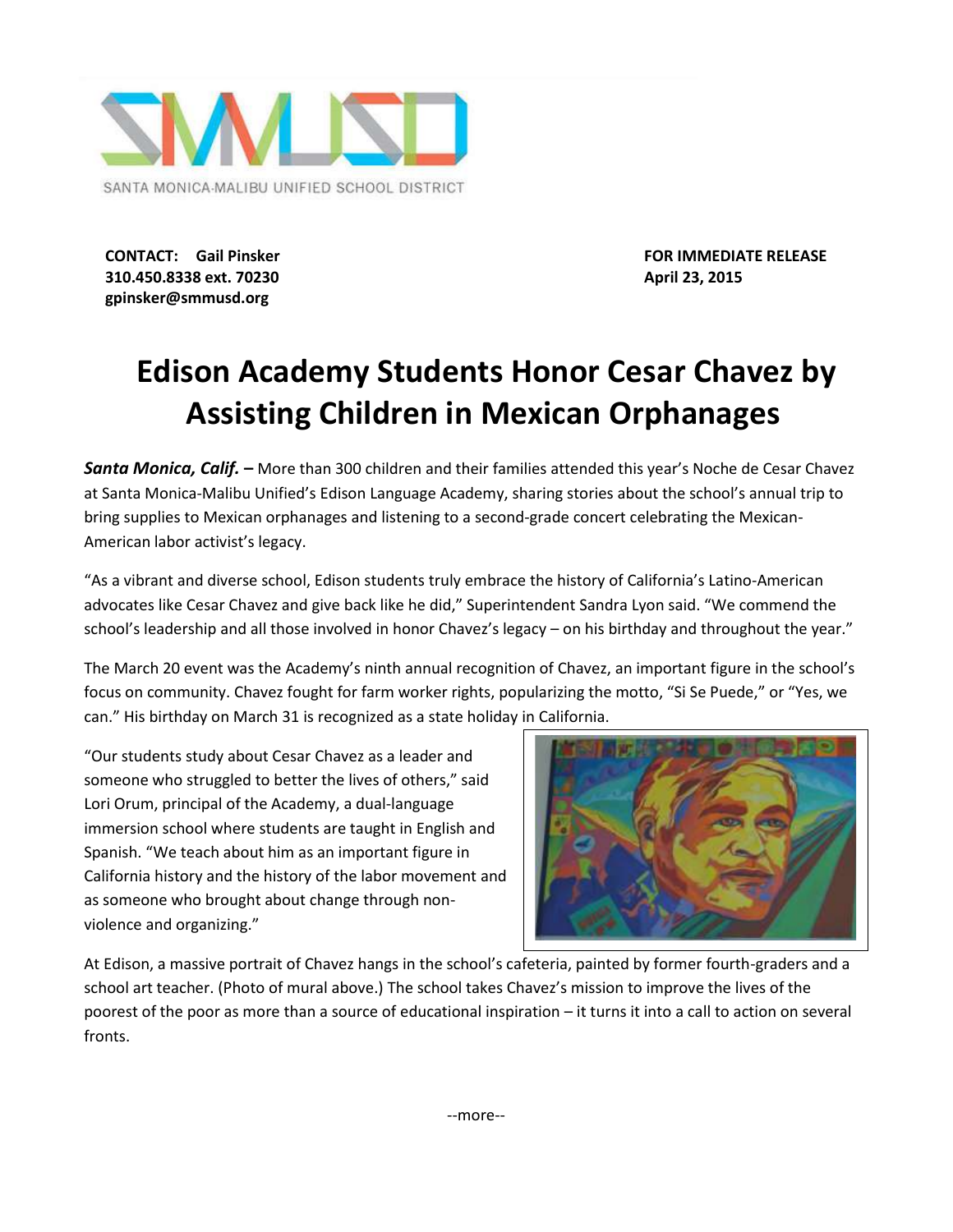

**310.450.8338 ext. 70230 April 23, 2015 gpinsker@smmusd.org**

**CONTACT: Gail Pinsker FOR IMMEDIATE RELEASE**

## **Edison Academy Students Honor Cesar Chavez by Assisting Children in Mexican Orphanages**

*Santa Monica, Calif.* **–** More than 300 children and their families attended this year's Noche de Cesar Chavez at Santa Monica-Malibu Unified's Edison Language Academy, sharing stories about the school's annual trip to bring supplies to Mexican orphanages and listening to a second-grade concert celebrating the Mexican-American labor activist's legacy.

"As a vibrant and diverse school, Edison students truly embrace the history of California's Latino-American advocates like Cesar Chavez and give back like he did," Superintendent Sandra Lyon said. "We commend the school's leadership and all those involved in honor Chavez's legacy – on his birthday and throughout the year."

The March 20 event was the Academy's ninth annual recognition of Chavez, an important figure in the school's focus on community. Chavez fought for farm worker rights, popularizing the motto, "Si Se Puede," or "Yes, we can." His birthday on March 31 is recognized as a state holiday in California.

"Our students study about Cesar Chavez as a leader and someone who struggled to better the lives of others," said Lori Orum, principal of the Academy, a dual-language immersion school where students are taught in English and Spanish. "We teach about him as an important figure in California history and the history of the labor movement and as someone who brought about change through nonviolence and organizing."



At Edison, a massive portrait of Chavez hangs in the school's cafeteria, painted by former fourth-graders and a school art teacher. (Photo of mural above.) The school takes Chavez's mission to improve the lives of the poorest of the poor as more than a source of educational inspiration – it turns it into a call to action on several fronts.